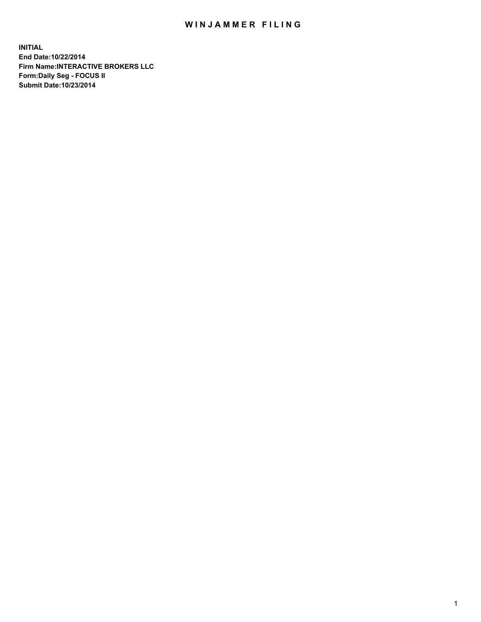## WIN JAMMER FILING

**INITIAL End Date:10/22/2014 Firm Name:INTERACTIVE BROKERS LLC Form:Daily Seg - FOCUS II Submit Date:10/23/2014**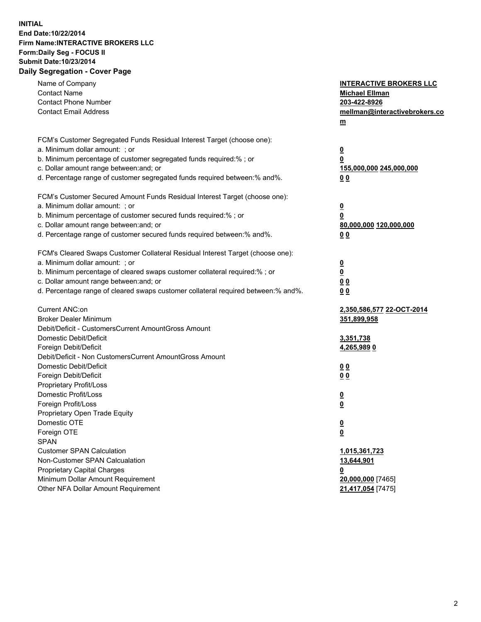## **INITIAL End Date:10/22/2014 Firm Name:INTERACTIVE BROKERS LLC Form:Daily Seg - FOCUS II Submit Date:10/23/2014 Daily Segregation - Cover Page**

| Name of Company<br><b>Contact Name</b><br><b>Contact Phone Number</b><br><b>Contact Email Address</b>                                                                                                                                                                                                                          | <b>INTERACTIVE BROKERS LLC</b><br><b>Michael Ellman</b><br>203-422-8926<br>mellman@interactivebrokers.co<br>$m$ |
|--------------------------------------------------------------------------------------------------------------------------------------------------------------------------------------------------------------------------------------------------------------------------------------------------------------------------------|-----------------------------------------------------------------------------------------------------------------|
| FCM's Customer Segregated Funds Residual Interest Target (choose one):<br>a. Minimum dollar amount: ; or                                                                                                                                                                                                                       | $\overline{\mathbf{0}}$                                                                                         |
| b. Minimum percentage of customer segregated funds required:% ; or<br>c. Dollar amount range between: and; or<br>d. Percentage range of customer segregated funds required between:% and%.                                                                                                                                     | 0<br>155,000,000 245,000,000<br>0 <sub>0</sub>                                                                  |
| FCM's Customer Secured Amount Funds Residual Interest Target (choose one):<br>a. Minimum dollar amount: ; or<br>b. Minimum percentage of customer secured funds required:% ; or<br>c. Dollar amount range between: and; or<br>d. Percentage range of customer secured funds required between:% and%.                           | $\overline{\mathbf{0}}$<br>0<br>80,000,000 120,000,000<br>0 <sub>0</sub>                                        |
| FCM's Cleared Swaps Customer Collateral Residual Interest Target (choose one):<br>a. Minimum dollar amount: ; or<br>b. Minimum percentage of cleared swaps customer collateral required:% ; or<br>c. Dollar amount range between: and; or<br>d. Percentage range of cleared swaps customer collateral required between:% and%. | $\overline{\mathbf{0}}$<br>$\overline{\mathbf{0}}$<br>0 <sub>0</sub><br>0 <sub>0</sub>                          |
| Current ANC:on<br><b>Broker Dealer Minimum</b>                                                                                                                                                                                                                                                                                 | 2,350,586,577 22-OCT-2014<br>351,899,958                                                                        |
| Debit/Deficit - CustomersCurrent AmountGross Amount<br>Domestic Debit/Deficit<br>Foreign Debit/Deficit<br>Debit/Deficit - Non CustomersCurrent AmountGross Amount                                                                                                                                                              | 3,351,738<br><u>4,265,9890</u>                                                                                  |
| Domestic Debit/Deficit<br>Foreign Debit/Deficit<br>Proprietary Profit/Loss                                                                                                                                                                                                                                                     | 0 <sub>0</sub><br>0 <sub>0</sub>                                                                                |
| Domestic Profit/Loss<br>Foreign Profit/Loss<br>Proprietary Open Trade Equity                                                                                                                                                                                                                                                   | $\overline{\mathbf{0}}$<br>$\underline{\mathbf{0}}$                                                             |
| Domestic OTE<br>Foreign OTE<br><b>SPAN</b>                                                                                                                                                                                                                                                                                     | <u>0</u><br><u>0</u>                                                                                            |
| <b>Customer SPAN Calculation</b><br>Non-Customer SPAN Calcualation<br>Proprietary Capital Charges<br>Minimum Dollar Amount Requirement                                                                                                                                                                                         | 1,015,361,723<br>13,644,901<br><u>0</u><br>20,000,000 [7465]                                                    |
| Other NFA Dollar Amount Requirement                                                                                                                                                                                                                                                                                            | 21,417,054 [7475]                                                                                               |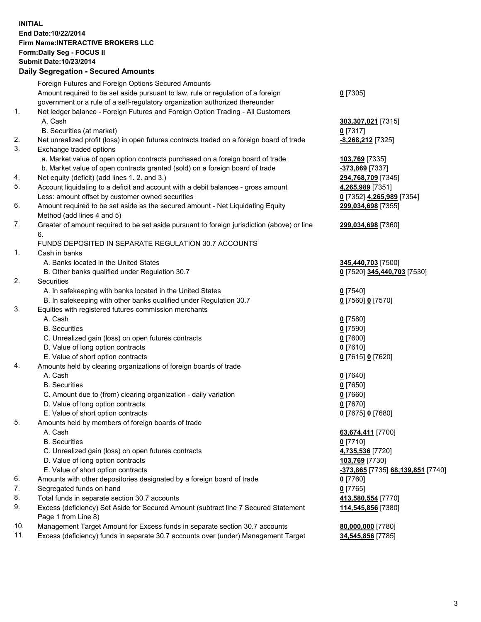## **INITIAL End Date:10/22/2014 Firm Name:INTERACTIVE BROKERS LLC Form:Daily Seg - FOCUS II Submit Date:10/23/2014 Daily Segregation - Secured Amounts**

|     | <b>Dany Ocgregation - Occarea Amounts</b>                                                                  |                                   |
|-----|------------------------------------------------------------------------------------------------------------|-----------------------------------|
|     | Foreign Futures and Foreign Options Secured Amounts                                                        |                                   |
|     | Amount required to be set aside pursuant to law, rule or regulation of a foreign                           | $0$ [7305]                        |
|     | government or a rule of a self-regulatory organization authorized thereunder                               |                                   |
| 1.  | Net ledger balance - Foreign Futures and Foreign Option Trading - All Customers                            |                                   |
|     | A. Cash                                                                                                    | 303,307,021 [7315]                |
|     | B. Securities (at market)                                                                                  | $0$ [7317]                        |
| 2.  | Net unrealized profit (loss) in open futures contracts traded on a foreign board of trade                  | -8,268,212 [7325]                 |
| 3.  | Exchange traded options                                                                                    |                                   |
|     | a. Market value of open option contracts purchased on a foreign board of trade                             | 103,769 [7335]                    |
|     | b. Market value of open contracts granted (sold) on a foreign board of trade                               | <mark>-373,869</mark> [7337]      |
| 4.  | Net equity (deficit) (add lines 1.2. and 3.)                                                               | 294,768,709 [7345]                |
| 5.  | Account liquidating to a deficit and account with a debit balances - gross amount                          | 4,265,989 [7351]                  |
|     | Less: amount offset by customer owned securities                                                           | 0 [7352] 4,265,989 [7354]         |
| 6.  | Amount required to be set aside as the secured amount - Net Liquidating Equity                             | 299,034,698 [7355]                |
|     | Method (add lines 4 and 5)                                                                                 |                                   |
| 7.  | Greater of amount required to be set aside pursuant to foreign jurisdiction (above) or line                | 299,034,698 [7360]                |
|     | 6.                                                                                                         |                                   |
|     | FUNDS DEPOSITED IN SEPARATE REGULATION 30.7 ACCOUNTS                                                       |                                   |
| 1.  | Cash in banks                                                                                              |                                   |
|     | A. Banks located in the United States                                                                      | 345,440,703 [7500]                |
|     | B. Other banks qualified under Regulation 30.7                                                             | 0 [7520] 345,440,703 [7530]       |
| 2.  | Securities                                                                                                 |                                   |
|     | A. In safekeeping with banks located in the United States                                                  | $0$ [7540]                        |
|     | B. In safekeeping with other banks qualified under Regulation 30.7                                         | 0 [7560] 0 [7570]                 |
| 3.  | Equities with registered futures commission merchants                                                      |                                   |
|     | A. Cash                                                                                                    | $0$ [7580]                        |
|     | <b>B.</b> Securities                                                                                       | $0$ [7590]                        |
|     | C. Unrealized gain (loss) on open futures contracts                                                        | $0$ [7600]                        |
|     | D. Value of long option contracts                                                                          | $0$ [7610]                        |
|     | E. Value of short option contracts                                                                         | 0 [7615] 0 [7620]                 |
| 4.  | Amounts held by clearing organizations of foreign boards of trade                                          |                                   |
|     | A. Cash                                                                                                    | $0$ [7640]                        |
|     | <b>B.</b> Securities                                                                                       | $0$ [7650]                        |
|     | C. Amount due to (from) clearing organization - daily variation                                            | $0$ [7660]                        |
|     | D. Value of long option contracts                                                                          | $0$ [7670]                        |
|     | E. Value of short option contracts                                                                         | 0 [7675] 0 [7680]                 |
| 5.  | Amounts held by members of foreign boards of trade                                                         |                                   |
|     | A. Cash                                                                                                    | 63,674,411 [7700]                 |
|     | <b>B.</b> Securities                                                                                       | $0$ [7710]                        |
|     | C. Unrealized gain (loss) on open futures contracts                                                        | 4,735,536 [7720]                  |
|     | D. Value of long option contracts                                                                          | 103,769 [7730]                    |
|     | E. Value of short option contracts                                                                         | -373,865 [7735] 68,139,851 [7740] |
| 6.  | Amounts with other depositories designated by a foreign board of trade                                     | 0 [7760]                          |
| 7.  | Segregated funds on hand                                                                                   | $0$ [7765]                        |
| 8.  | Total funds in separate section 30.7 accounts                                                              | 413,580,554 [7770]                |
| 9.  | Excess (deficiency) Set Aside for Secured Amount (subtract line 7 Secured Statement<br>Page 1 from Line 8) | 114,545,856 [7380]                |
| 10. | Management Target Amount for Excess funds in separate section 30.7 accounts                                | 80,000,000 [7780]                 |
| 11. | Excess (deficiency) funds in separate 30.7 accounts over (under) Management Target                         | 34,545,856 [7785]                 |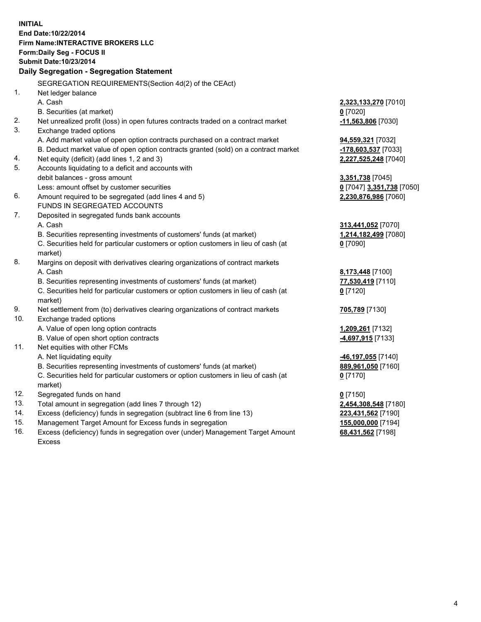**INITIAL End Date:10/22/2014 Firm Name:INTERACTIVE BROKERS LLC Form:Daily Seg - FOCUS II Submit Date:10/23/2014 Daily Segregation - Segregation Statement** SEGREGATION REQUIREMENTS(Section 4d(2) of the CEAct) 1. Net ledger balance A. Cash **2,323,133,270** [7010] B. Securities (at market) **0** [7020] 2. Net unrealized profit (loss) in open futures contracts traded on a contract market **-11,563,806** [7030] 3. Exchange traded options A. Add market value of open option contracts purchased on a contract market **94,559,321** [7032] B. Deduct market value of open option contracts granted (sold) on a contract market **-178,603,537** [7033] 4. Net equity (deficit) (add lines 1, 2 and 3) **2,227,525,248** [7040] 5. Accounts liquidating to a deficit and accounts with debit balances - gross amount **3,351,738** [7045] Less: amount offset by customer securities **0** [7047] **3,351,738** [7050] 6. Amount required to be segregated (add lines 4 and 5) **2,230,876,986** [7060] FUNDS IN SEGREGATED ACCOUNTS 7. Deposited in segregated funds bank accounts A. Cash **313,441,052** [7070] B. Securities representing investments of customers' funds (at market) **1,214,182,499** [7080] C. Securities held for particular customers or option customers in lieu of cash (at market) **0** [7090] 8. Margins on deposit with derivatives clearing organizations of contract markets A. Cash **8,173,448** [7100] B. Securities representing investments of customers' funds (at market) **77,530,419** [7110] C. Securities held for particular customers or option customers in lieu of cash (at market) **0** [7120] 9. Net settlement from (to) derivatives clearing organizations of contract markets **705,789** [7130] 10. Exchange traded options A. Value of open long option contracts **1,209,261** [7132] B. Value of open short option contracts **-4,697,915** [7133] 11. Net equities with other FCMs A. Net liquidating equity **-46,197,055** [7140] B. Securities representing investments of customers' funds (at market) **889,961,050** [7160] C. Securities held for particular customers or option customers in lieu of cash (at market) **0** [7170] 12. Segregated funds on hand **0** [7150] 13. Total amount in segregation (add lines 7 through 12) **2,454,308,548** [7180] 14. Excess (deficiency) funds in segregation (subtract line 6 from line 13) **223,431,562** [7190] 15. Management Target Amount for Excess funds in segregation **155,000,000** [7194]

16. Excess (deficiency) funds in segregation over (under) Management Target Amount Excess

**68,431,562** [7198]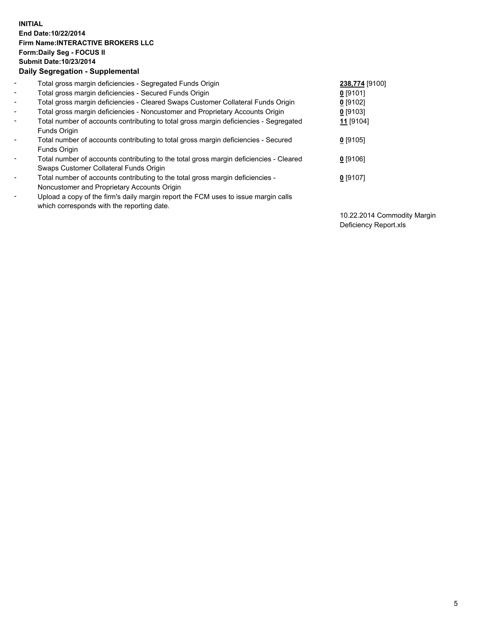## **INITIAL End Date:10/22/2014 Firm Name:INTERACTIVE BROKERS LLC Form:Daily Seg - FOCUS II Submit Date:10/23/2014 Daily Segregation - Supplemental**

| $\blacksquare$           | Total gross margin deficiencies - Segregated Funds Origin                              | 238,774 [9100]       |
|--------------------------|----------------------------------------------------------------------------------------|----------------------|
| $\sim$                   | Total gross margin deficiencies - Secured Funds Origin                                 | $0$ [9101]           |
| $\blacksquare$           | Total gross margin deficiencies - Cleared Swaps Customer Collateral Funds Origin       | $0$ [9102]           |
| $\blacksquare$           | Total gross margin deficiencies - Noncustomer and Proprietary Accounts Origin          | $0$ [9103]           |
| $\blacksquare$           | Total number of accounts contributing to total gross margin deficiencies - Segregated  | 11 <sub>[9104]</sub> |
|                          | Funds Origin                                                                           |                      |
| $\blacksquare$           | Total number of accounts contributing to total gross margin deficiencies - Secured     | $0$ [9105]           |
|                          | <b>Funds Origin</b>                                                                    |                      |
| $\blacksquare$           | Total number of accounts contributing to the total gross margin deficiencies - Cleared | $0$ [9106]           |
|                          | Swaps Customer Collateral Funds Origin                                                 |                      |
| $\overline{\phantom{a}}$ | Total number of accounts contributing to the total gross margin deficiencies -         | $0$ [9107]           |
|                          | Noncustomer and Proprietary Accounts Origin                                            |                      |
| $\overline{\phantom{a}}$ | Upload a copy of the firm's daily margin report the FCM uses to issue margin calls     |                      |
|                          | which corresponds with the reporting date.                                             |                      |

10.22.2014 Commodity Margin Deficiency Report.xls